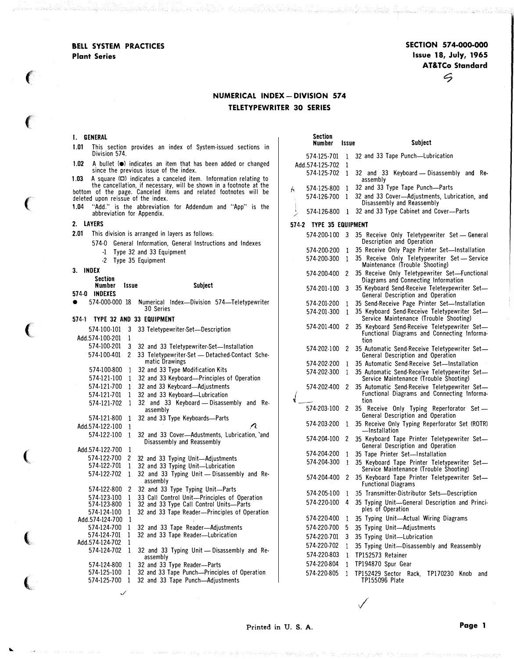BELL SYSTEM PRACTICES Plant Series

SECTION 574-000-000 Issue 18, July, 1965 AT&TCo Standard  $\mathcal{G}$ 

telement kelle badan Stocker belagai sestas belak kelik adalah sahiji peranggal sebagai kelasan bagi tepak mel

## NUMERICAL INDEX- DIVISION 574 TELETYPEWRITER 30 SERIES

## $\mathbf{L}$

 $2.$ 

 $\big($ 

e a teadoleir a staite na B

 $\epsilon$ 

 $\left($ 

 $\big($ 

(

 $\big($ 

 $\big($ 

...

|           | <b>1. GENERAL</b>                  |              |                                                                                                                                     | Section            |              |                                                                                                       |
|-----------|------------------------------------|--------------|-------------------------------------------------------------------------------------------------------------------------------------|--------------------|--------------|-------------------------------------------------------------------------------------------------------|
| 1.01      | Division 574.                      |              | This section provides an index of System-issued sections in                                                                         | Number             | Issue        | <b>Subject</b>                                                                                        |
| 1.02      |                                    |              | A bullet ( $\bullet$ ) indicates an item that has been added or changed                                                             | Add.574-125-702 1  |              | 574-125-701 1 32 and 33 Tape Punch-Lubrication                                                        |
|           |                                    |              | since the previous issue of the index.                                                                                              | 574-125-702 1      |              | 32 and 33 Keyboard - Disassembly and Re-                                                              |
| 1.03      |                                    |              | A square $(\Box)$ indicates a canceled item. Information relating to                                                                |                    |              | assembly                                                                                              |
|           |                                    |              | the cancellation, if necessary, will be shown in a footnote at the bottom of the page. Canceled items and related footnotes will be | 574-125-800 1<br>h |              | 32 and 33 Type Tape Punch-Parts<br>574-126-700 1 32 and 33 Cover-Adjustments, Lubrication, and        |
| 1.04      | deleted upon reissue of the index. |              | "Add." is the abbreviation for Addendum and "App" is the                                                                            |                    |              | Disassembly and Reassembly                                                                            |
|           | abbreviation for Appendix.         |              |                                                                                                                                     |                    |              | 574-126-800 1 32 and 33 Type Cabinet and Cover-Parts                                                  |
| 2. LAYERS |                                    |              | 574-2 TYPE 35 EQUIPMENT                                                                                                             |                    |              |                                                                                                       |
| 2.01      |                                    |              | This division is arranged in layers as follows:                                                                                     |                    |              | 574-200-100 3 35 Receive Only Teletypewriter Set - General<br>Description and Operation               |
|           |                                    |              | 574-0 General Information, General Instructions and Indexes<br>-1 Type 32 and 33 Equipment                                          |                    |              | 574-200-200 1 35 Receive Only Page Printer Set-Installation                                           |
|           |                                    |              | -2 Type 35 Equipment                                                                                                                |                    |              | 574-200-300 1 35 Receive Only Teletypewriter Set - Service                                            |
| 3. INDEX  |                                    |              |                                                                                                                                     |                    |              | Maintenance (Trouble Shooting)<br>574-200-400 2 35 Receive Only Teletypewriter Set-Functional         |
|           | Section                            |              |                                                                                                                                     |                    |              | Diagrams and Connecting Information                                                                   |
|           | Number<br>574-0 INDEXES            | issue        | <b>Subject</b>                                                                                                                      |                    |              | 574-201-100 3 35 Keyboard Send-Receive Teleteypewriter Set-<br>General Description and Operation      |
|           |                                    |              | 574-000-000 18 Numerical Index-Division 574-Teletypewriter                                                                          | 574-201-200 1      |              | 35 Send-Receive Page Printer Set-Installation                                                         |
|           |                                    |              | 30 Series                                                                                                                           |                    |              | 574-201-300 1 35 Keyboard Send-Receive Teletypewriter Set-                                            |
|           |                                    |              | 574-1 TYPE 32 AND 33 EQUIPMENT                                                                                                      | 574-201-400 2      |              | Service Maintenance (Trouble Shooting)<br>35 Keyboard Send-Receive Teletypewriter Set-                |
|           | Add.574-100-201                    | $\mathbf{1}$ | 574-100-101 3 33 Teletypewriter-Set-Description                                                                                     |                    |              | Functional Diagrams and Connecting Informa-                                                           |
|           |                                    |              | 574-100-201 3 32 and 33 Teletypewriter-Set-Installation                                                                             |                    |              | tion<br>574-202-100 2 35 Automatic Send-Receive Teletypewriter Set-                                   |
|           |                                    |              | 574-100-401 2 33 Teletypewriter-Set — Detached-Contact Sche-                                                                        |                    |              | General Description and Operation                                                                     |
|           |                                    |              | matic Drawings<br>574-100-800 1 32 and 33 Type Modification Kits                                                                    |                    |              | 574-202-200 1 35 Automatic Send-Receive Set-Installation                                              |
|           | 574-121-100 1                      |              | 32 and 33 Keyboard-Principles of Operation                                                                                          |                    |              | 574-202-300 1 35 Automatic Send-Receive Teletypewriter Set-<br>Service Maintenance (Trouble Shooting) |
|           |                                    |              | 574-121-700 1 32 and 33 Keyboard-Adjustments                                                                                        |                    |              | 574-202-400 2 35 Automatic Send-Receive Teletypewriter Set-                                           |
|           |                                    |              | 574-121-701 1 32 and 33 Keyboard-Lubrication                                                                                        |                    |              | Functional Diagrams and Connecting Informa-<br>tion                                                   |
|           |                                    |              | 574-121-702 1 32 and 33 Keyboard - Disassembly and Re-<br>assembly                                                                  |                    |              | 574-203-100 2 35 Receive Only Typing Reperforator Set -                                               |
|           |                                    |              | 574-121-800 1 32 and 33 Type Keyboards-Parts                                                                                        |                    |              | General Description and Operation                                                                     |
|           | Add.574-122-100 1                  |              | Λ                                                                                                                                   |                    |              | 574-203-200 1 35 Receive Only Typing Reperforator Set (ROTR)<br>—Installation                         |
|           | 574-122-100 1                      |              | 32 and 33 Cover-Adustments, Lubrication, `and<br>Disassembly and Reassembly                                                         |                    |              | 574-204-100 2 35 Keyboard Tape Printer Teletypewriter Set-<br>General Description and Operation       |
|           | Add.574-122-700 1                  |              |                                                                                                                                     |                    |              | 574-204-200 1 35 Tape Printer Set-Installation                                                        |
|           | 574-122-701                        | $\mathbf{1}$ | 574-122-700 2 32 and 33 Typing Unit-Adjustments<br>32 and 33 Typing Unit-Lubrication                                                |                    |              | 574-204-300 1 35 Keyboard Tape Printer Teletypewriter Set-                                            |
|           |                                    |              | 574-122-702 1 32 and 33 Typing Unit - Disassembly and Re-                                                                           |                    |              | Service Maintenance (Trouble Shooting)                                                                |
|           |                                    |              | assembly                                                                                                                            |                    |              | 574-204-400 2 35 Keyboard Tape Printer Teletypewriter Set-<br><b>Functional Diagrams</b>              |
|           |                                    |              | 574-122-800 2 32 and 33 Type Typing Unit-Parts<br>574-123-100 1 33 Call Control Unit-Principles of Operation                        |                    |              | 574-205-100 1 35 Transmitter-Distributor Sets-Description                                             |
|           |                                    |              | 574-123-800 1 32 and 33 Type Call Control Units-Parts                                                                               |                    |              | 574-220-100 4 35 Typing Unit-General Description and Princi-<br>ples of Operation                     |
|           | 574-124-100<br>Add.574-124-700 1   | -1           | 32 and 33 Tape Reader-Principles of Operation                                                                                       | 574-220-400 1      |              | 35 Typing Unit-Actual Wiring Diagrams                                                                 |
|           |                                    |              | 574-124-700 1 32 and 33 Tape Reader-Adjustments                                                                                     | 574-220-700 5      |              | 35 Typing Unit-Adjustments                                                                            |
|           | 574-124-701 1                      |              | 32 and 33 Tape Reader-Lubrication                                                                                                   | 574-220-701 3      |              | 35 Typing Unit-Lubrication                                                                            |
|           | Add.574-124-702 1                  |              | 574-124-702 1 32 and 33 Typing Unit - Disassembly and Re-                                                                           | 574-220-702        | -1           | 35 Typing Unit-Disassembly and Reassembly                                                             |
|           |                                    |              | assembly                                                                                                                            | 574-220-803        | 1            | TP152573 Retainer                                                                                     |
|           |                                    |              | 574-124-800 1 32 and 33 Type Reader-Parts                                                                                           | 574-220-804        |              | 1 TP194870 Spur Gear                                                                                  |
|           |                                    |              | 574-125-100 1 32 and 33 Tape Punch-Principles of Operation<br>574-125-700 1 32 and 33 Tape Punch-Adjustments                        | 574-220-805        | $\mathbf{1}$ | TP152429 Sector Rack, TP170230 Knob and<br>TP155096 Plate                                             |
|           |                                    | ✓            |                                                                                                                                     |                    |              |                                                                                                       |

 $\checkmark$